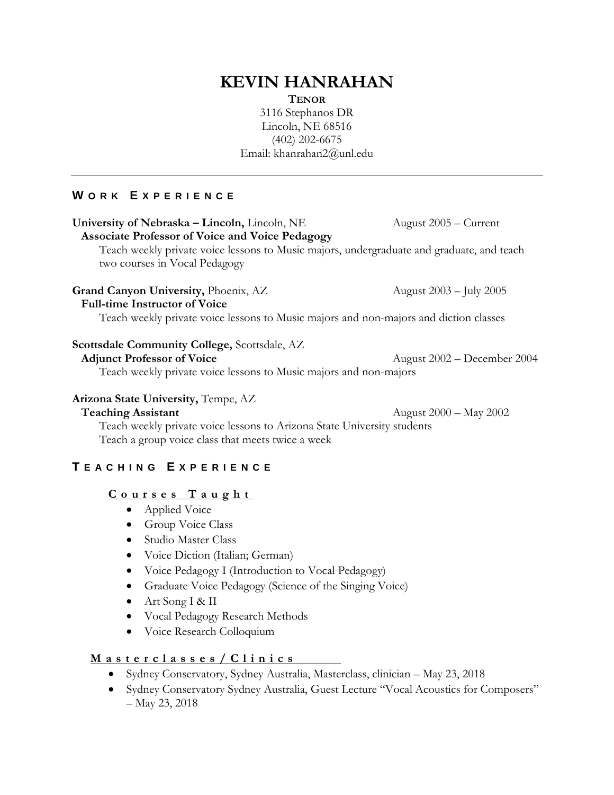# **KEVIN HANRAHAN**

**TENOR**

3116 Stephanos DR Lincoln, NE 68516 (402) 202-6675 Email: khanrahan2@unl.edu

## **W O R K E X P E R I E N C E**

#### **University of Nebraska – Lincoln,** Lincoln, NE August 2005 – Current **Associate Professor of Voice and Voice Pedagogy**

Teach weekly private voice lessons to Music majors, undergraduate and graduate, and teach two courses in Vocal Pedagogy

## **Grand Canyon University, Phoenix, AZ** August 2003 – July 2005

### **Full-time Instructor of Voice**

Teach weekly private voice lessons to Music majors and non-majors and diction classes

## **Scottsdale Community College,** Scottsdale, AZ

Teach weekly private voice lessons to Music majors and non-majors

## **Arizona State University,** Tempe, AZ

**Teaching Assistant** August 2000 – May 2002

Teach weekly private voice lessons to Arizona State University students Teach a group voice class that meets twice a week

# **T E A C H I N G E X P E R I E N C E**

## **C o u r s e s T a u g h t**

- Applied Voice
- Group Voice Class
- Studio Master Class
- Voice Diction (Italian; German)
- Voice Pedagogy I (Introduction to Vocal Pedagogy)
- Graduate Voice Pedagogy (Science of the Singing Voice)
- Art Song I & II
- Vocal Pedagogy Research Methods
- Voice Research Colloquium

# **M a s t e r c l a s s e s / C l i n i c s**

- Sydney Conservatory, Sydney Australia, Masterclass, clinician May 23, 2018
- Sydney Conservatory Sydney Australia, Guest Lecture "Vocal Acoustics for Composers" – May 23, 2018

**Adjunct Professor of Voice** August 2002 – December 2004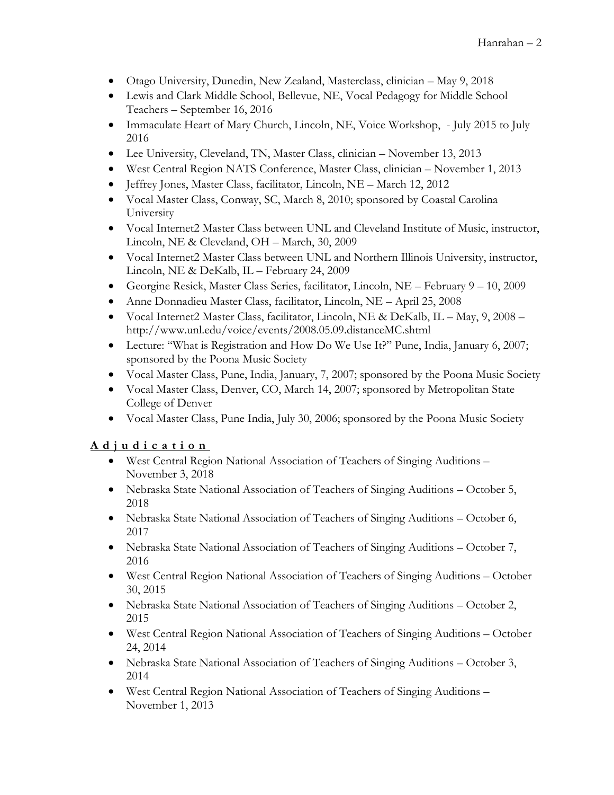- Otago University, Dunedin, New Zealand, Masterclass, clinician May 9, 2018
- Lewis and Clark Middle School, Bellevue, NE, Vocal Pedagogy for Middle School Teachers – September 16, 2016
- Immaculate Heart of Mary Church, Lincoln, NE, Voice Workshop, July 2015 to July 2016
- Lee University, Cleveland, TN, Master Class, clinician November 13, 2013
- West Central Region NATS Conference, Master Class, clinician November 1, 2013
- Jeffrey Jones, Master Class, facilitator, Lincoln, NE March 12, 2012
- Vocal Master Class, Conway, SC, March 8, 2010; sponsored by Coastal Carolina University
- Vocal Internet2 Master Class between UNL and Cleveland Institute of Music, instructor, Lincoln, NE & Cleveland, OH – March, 30, 2009
- Vocal Internet2 Master Class between UNL and Northern Illinois University, instructor, Lincoln, NE & DeKalb, IL – February 24, 2009
- Georgine Resick, Master Class Series, facilitator, Lincoln, NE February 9 10, 2009
- Anne Donnadieu Master Class, facilitator, Lincoln, NE April 25, 2008
- Vocal Internet2 Master Class, facilitator, Lincoln, NE & DeKalb, IL May, 9, 2008 http://www.unl.edu/voice/events/2008.05.09.distanceMC.shtml
- Lecture: "What is Registration and How Do We Use It?" Pune, India, January 6, 2007; sponsored by the Poona Music Society
- Vocal Master Class, Pune, India, January, 7, 2007; sponsored by the Poona Music Society
- Vocal Master Class, Denver, CO, March 14, 2007; sponsored by Metropolitan State College of Denver
- Vocal Master Class, Pune India, July 30, 2006; sponsored by the Poona Music Society

# **A d j u d i c a t i o n**

- West Central Region National Association of Teachers of Singing Auditions November 3, 2018
- Nebraska State National Association of Teachers of Singing Auditions October 5, 2018
- Nebraska State National Association of Teachers of Singing Auditions October 6, 2017
- Nebraska State National Association of Teachers of Singing Auditions October 7, 2016
- West Central Region National Association of Teachers of Singing Auditions October 30, 2015
- Nebraska State National Association of Teachers of Singing Auditions October 2, 2015
- West Central Region National Association of Teachers of Singing Auditions October 24, 2014
- Nebraska State National Association of Teachers of Singing Auditions October 3, 2014
- West Central Region National Association of Teachers of Singing Auditions November 1, 2013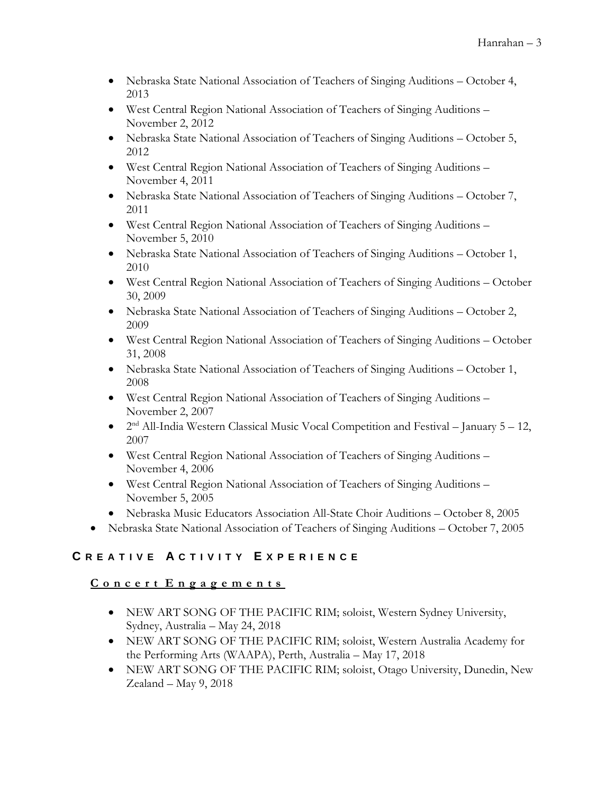- Nebraska State National Association of Teachers of Singing Auditions October 4, 2013
- West Central Region National Association of Teachers of Singing Auditions November 2, 2012
- Nebraska State National Association of Teachers of Singing Auditions October 5, 2012
- West Central Region National Association of Teachers of Singing Auditions November 4, 2011
- Nebraska State National Association of Teachers of Singing Auditions October 7, 2011
- West Central Region National Association of Teachers of Singing Auditions November 5, 2010
- Nebraska State National Association of Teachers of Singing Auditions October 1, 2010
- West Central Region National Association of Teachers of Singing Auditions October 30, 2009
- Nebraska State National Association of Teachers of Singing Auditions October 2, 2009
- West Central Region National Association of Teachers of Singing Auditions October 31, 2008
- Nebraska State National Association of Teachers of Singing Auditions October 1, 2008
- West Central Region National Association of Teachers of Singing Auditions November 2, 2007
- $\bullet$  2<sup>nd</sup> All-India Western Classical Music Vocal Competition and Festival January 5 12, 2007
- West Central Region National Association of Teachers of Singing Auditions November 4, 2006
- West Central Region National Association of Teachers of Singing Auditions November 5, 2005
- Nebraska Music Educators Association All-State Choir Auditions October 8, 2005
- Nebraska State National Association of Teachers of Singing Auditions October 7, 2005

# **C R E A T I V E A C T I V I T Y E X P E R I E N C E**

# **C o n c e r t E n g a g e m e n t s**

- NEW ART SONG OF THE PACIFIC RIM; soloist, Western Sydney University, Sydney, Australia – May 24, 2018
- NEW ART SONG OF THE PACIFIC RIM; soloist, Western Australia Academy for the Performing Arts (WAAPA), Perth, Australia – May 17, 2018
- NEW ART SONG OF THE PACIFIC RIM; soloist, Otago University, Dunedin, New Zealand – May 9, 2018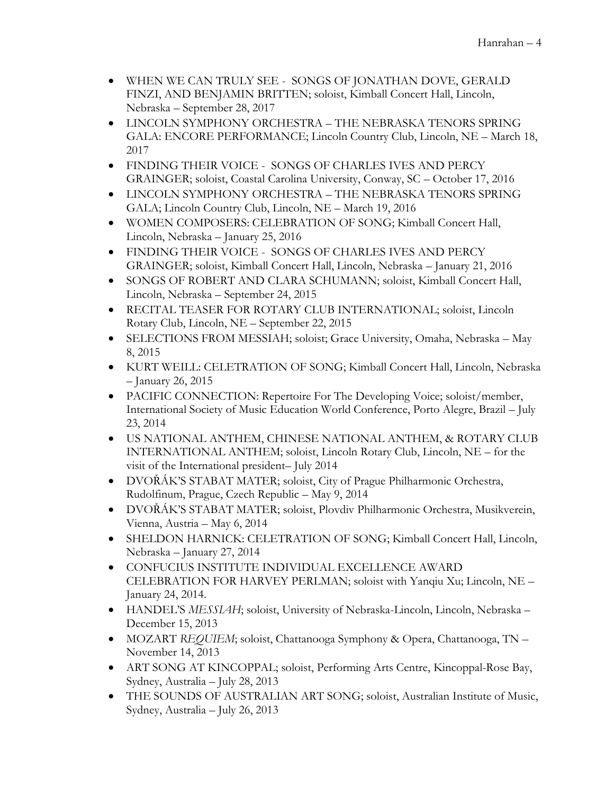- WHEN WE CAN TRULY SEE SONGS OF JONATHAN DOVE, GERALD FINZI, AND BENJAMIN BRITTEN; soloist, Kimball Concert Hall, Lincoln, Nebraska – September 28, 2017
- LINCOLN SYMPHONY ORCHESTRA THE NEBRASKA TENORS SPRING GALA: ENCORE PERFORMANCE; Lincoln Country Club, Lincoln, NE – March 18, 2017
- FINDING THEIR VOICE SONGS OF CHARLES IVES AND PERCY GRAINGER; soloist, Coastal Carolina University, Conway, SC – October 17, 2016
- LINCOLN SYMPHONY ORCHESTRA THE NEBRASKA TENORS SPRING GALA; Lincoln Country Club, Lincoln, NE – March 19, 2016
- WOMEN COMPOSERS: CELEBRATION OF SONG; Kimball Concert Hall, Lincoln, Nebraska – January 25, 2016
- FINDING THEIR VOICE SONGS OF CHARLES IVES AND PERCY GRAINGER; soloist, Kimball Concert Hall, Lincoln, Nebraska – January 21, 2016
- SONGS OF ROBERT AND CLARA SCHUMANN; soloist, Kimball Concert Hall, Lincoln, Nebraska – September 24, 2015
- RECITAL TEASER FOR ROTARY CLUB INTERNATIONAL; soloist, Lincoln Rotary Club, Lincoln, NE – September 22, 2015
- SELECTIONS FROM MESSIAH; soloist; Grace University, Omaha, Nebraska May 8, 2015
- KURT WEILL: CELETRATION OF SONG; Kimball Concert Hall, Lincoln, Nebraska – January 26, 2015
- PACIFIC CONNECTION: Repertoire For The Developing Voice; soloist/member, International Society of Music Education World Conference, Porto Alegre, Brazil – July 23, 2014
- US NATIONAL ANTHEM, CHINESE NATIONAL ANTHEM, & ROTARY CLUB INTERNATIONAL ANTHEM; soloist, Lincoln Rotary Club, Lincoln, NE – for the visit of the International president– July 2014
- DVOŘÁK'S STABAT MATER; soloist, City of Prague Philharmonic Orchestra, Rudolfinum, Prague, Czech Republic – May 9, 2014
- DVOŘÁK'S STABAT MATER; soloist, Plovdiv Philharmonic Orchestra, Musikverein, Vienna, Austria – May 6, 2014
- SHELDON HARNICK: CELETRATION OF SONG; Kimball Concert Hall, Lincoln, Nebraska – January 27, 2014
- CONFUCIUS INSTITUTE INDIVIDUAL EXCELLENCE AWARD CELEBRATION FOR HARVEY PERLMAN; soloist with Yanqiu Xu; Lincoln, NE – January 24, 2014.
- HANDEL'S *MESSIAH*; soloist, University of Nebraska-Lincoln, Lincoln, Nebraska December 15, 2013
- MOZART *REQUIEM*; soloist, Chattanooga Symphony & Opera, Chattanooga, TN November 14, 2013
- ART SONG AT KINCOPPAL; soloist, Performing Arts Centre, Kincoppal-Rose Bay, Sydney, Australia – July 28, 2013
- THE SOUNDS OF AUSTRALIAN ART SONG; soloist, Australian Institute of Music, Sydney, Australia – July 26, 2013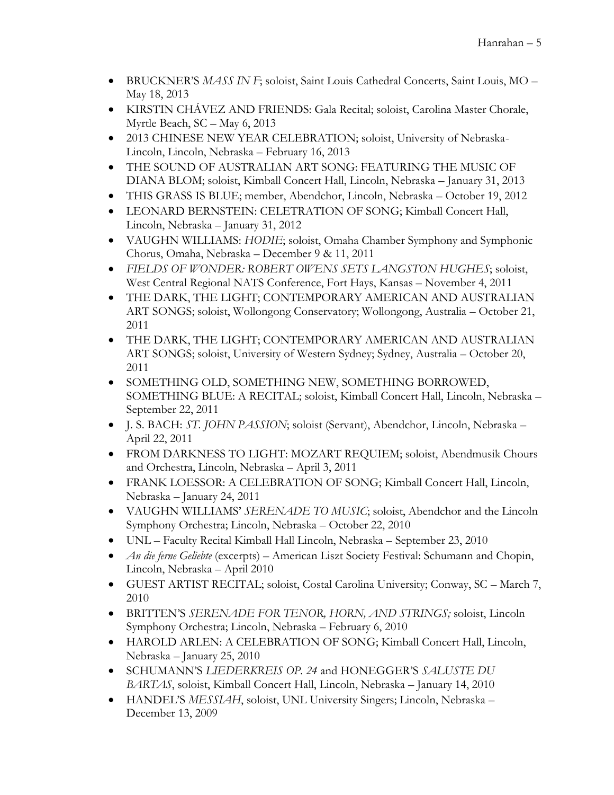- BRUCKNER'S *MASS IN F*; soloist, Saint Louis Cathedral Concerts, Saint Louis, MO May 18, 2013
- KIRSTIN CHÁVEZ AND FRIENDS: Gala Recital; soloist, Carolina Master Chorale, Myrtle Beach, SC – May 6, 2013
- 2013 CHINESE NEW YEAR CELEBRATION; soloist, University of Nebraska-Lincoln, Lincoln, Nebraska – February 16, 2013
- THE SOUND OF AUSTRALIAN ART SONG: FEATURING THE MUSIC OF DIANA BLOM; soloist, Kimball Concert Hall, Lincoln, Nebraska – January 31, 2013
- THIS GRASS IS BLUE; member, Abendchor, Lincoln, Nebraska October 19, 2012
- LEONARD BERNSTEIN: CELETRATION OF SONG; Kimball Concert Hall, Lincoln, Nebraska – January 31, 2012
- VAUGHN WILLIAMS: *HODIE*; soloist, Omaha Chamber Symphony and Symphonic Chorus, Omaha, Nebraska – December 9 & 11, 2011
- *FIELDS OF WONDER: ROBERT OWENS SETS LANGSTON HUGHES*; soloist, West Central Regional NATS Conference, Fort Hays, Kansas – November 4, 2011
- THE DARK, THE LIGHT; CONTEMPORARY AMERICAN AND AUSTRALIAN ART SONGS; soloist, Wollongong Conservatory; Wollongong, Australia – October 21, 2011
- THE DARK, THE LIGHT; CONTEMPORARY AMERICAN AND AUSTRALIAN ART SONGS; soloist, University of Western Sydney; Sydney, Australia – October 20, 2011
- SOMETHING OLD, SOMETHING NEW, SOMETHING BORROWED, SOMETHING BLUE: A RECITAL; soloist, Kimball Concert Hall, Lincoln, Nebraska – September 22, 2011
- J. S. BACH: *ST. JOHN PASSION*; soloist (Servant), Abendchor, Lincoln, Nebraska April 22, 2011
- FROM DARKNESS TO LIGHT: MOZART REQUIEM; soloist, Abendmusik Chours and Orchestra, Lincoln, Nebraska – April 3, 2011
- FRANK LOESSOR: A CELEBRATION OF SONG; Kimball Concert Hall, Lincoln, Nebraska – January 24, 2011
- VAUGHN WILLIAMS' *SERENADE TO MUSIC*; soloist, Abendchor and the Lincoln Symphony Orchestra; Lincoln, Nebraska – October 22, 2010
- UNL Faculty Recital Kimball Hall Lincoln, Nebraska September 23, 2010
- *An die ferne Geliebte* (excerpts) American Liszt Society Festival: Schumann and Chopin, Lincoln, Nebraska – April 2010
- GUEST ARTIST RECITAL; soloist, Costal Carolina University; Conway, SC March 7, 2010
- BRITTEN'S *SERENADE FOR TENOR, HORN, AND STRINGS;* soloist, Lincoln Symphony Orchestra; Lincoln, Nebraska – February 6, 2010
- HAROLD ARLEN: A CELEBRATION OF SONG; Kimball Concert Hall, Lincoln, Nebraska – January 25, 2010
- SCHUMANN'S *LIEDERKREIS OP. 24* and HONEGGER'S *SALUSTE DU BARTAS*, soloist, Kimball Concert Hall, Lincoln, Nebraska – January 14, 2010
- HANDEL'S *MESSIAH*, soloist, UNL University Singers; Lincoln, Nebraska December 13, 2009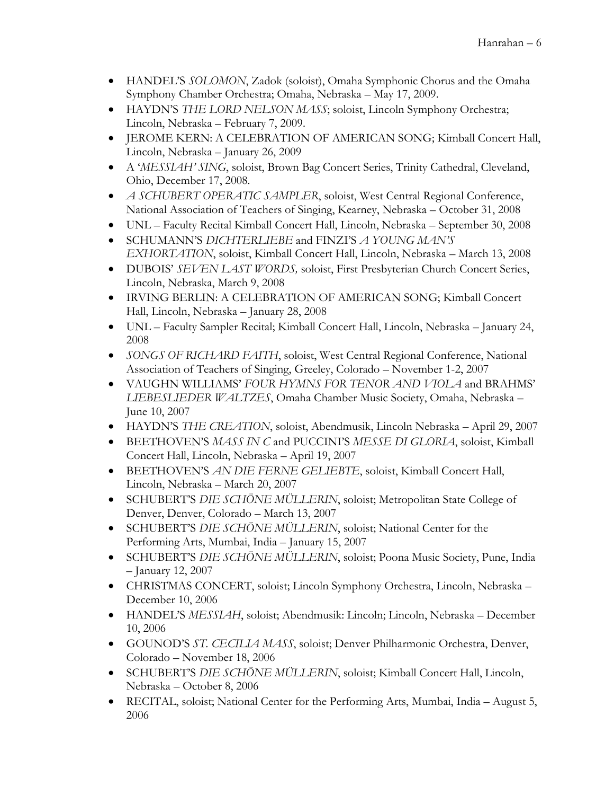- HANDEL'S *SOLOMON*, Zadok (soloist), Omaha Symphonic Chorus and the Omaha Symphony Chamber Orchestra; Omaha, Nebraska – May 17, 2009.
- HAYDN'S *THE LORD NELSON MASS*; soloist, Lincoln Symphony Orchestra; Lincoln, Nebraska – February 7, 2009.
- JEROME KERN: A CELEBRATION OF AMERICAN SONG; Kimball Concert Hall, Lincoln, Nebraska – January 26, 2009
- A '*MESSIAH' SING*, soloist, Brown Bag Concert Series, Trinity Cathedral, Cleveland, Ohio, December 17, 2008.
- *A SCHUBERT OPERATIC SAMPLER*, soloist, West Central Regional Conference, National Association of Teachers of Singing, Kearney, Nebraska – October 31, 2008
- UNL Faculty Recital Kimball Concert Hall, Lincoln, Nebraska September 30, 2008
- SCHUMANN'S *DICHTERLIEBE* and FINZI'S *A YOUNG MAN'S EXHORTATION*, soloist, Kimball Concert Hall, Lincoln, Nebraska – March 13, 2008
- DUBOIS' *SEVEN LAST WORDS,* soloist, First Presbyterian Church Concert Series, Lincoln, Nebraska, March 9, 2008
- IRVING BERLIN: A CELEBRATION OF AMERICAN SONG; Kimball Concert Hall, Lincoln, Nebraska – January 28, 2008
- UNL Faculty Sampler Recital; Kimball Concert Hall, Lincoln, Nebraska January 24, 2008
- *SONGS OF RICHARD FAITH*, soloist, West Central Regional Conference, National Association of Teachers of Singing, Greeley, Colorado – November 1-2, 2007
- VAUGHN WILLIAMS' *FOUR HYMNS FOR TENOR AND VIOLA* and BRAHMS' *LIEBESLIEDER WALTZES*, Omaha Chamber Music Society, Omaha, Nebraska – June 10, 2007
- HAYDN'S *THE CREATION*, soloist, Abendmusik, Lincoln Nebraska April 29, 2007
- BEETHOVEN'S *MASS IN C* and PUCCINI'S *MESSE DI GLORIA*, soloist, Kimball Concert Hall, Lincoln, Nebraska – April 19, 2007
- BEETHOVEN'S *AN DIE FERNE GELIEBTE*, soloist, Kimball Concert Hall, Lincoln, Nebraska – March 20, 2007
- SCHUBERT'S *DIE SCHÖNE MÜLLERIN*, soloist; Metropolitan State College of Denver, Denver, Colorado – March 13, 2007
- SCHUBERT'S *DIE SCHÖNE MÜLLERIN*, soloist; National Center for the Performing Arts, Mumbai, India – January 15, 2007
- SCHUBERT'S *DIE SCHÖNE MÜLLERIN*, soloist; Poona Music Society, Pune, India – January 12, 2007
- CHRISTMAS CONCERT, soloist; Lincoln Symphony Orchestra, Lincoln, Nebraska December 10, 2006
- HANDEL'S *MESSIAH*, soloist; Abendmusik: Lincoln; Lincoln, Nebraska December 10, 2006
- GOUNOD'S *ST. CECILIA MASS*, soloist; Denver Philharmonic Orchestra, Denver, Colorado – November 18, 2006
- SCHUBERT'S *DIE SCHÖNE MÜLLERIN*, soloist; Kimball Concert Hall, Lincoln, Nebraska – October 8, 2006
- RECITAL, soloist; National Center for the Performing Arts, Mumbai, India August 5, 2006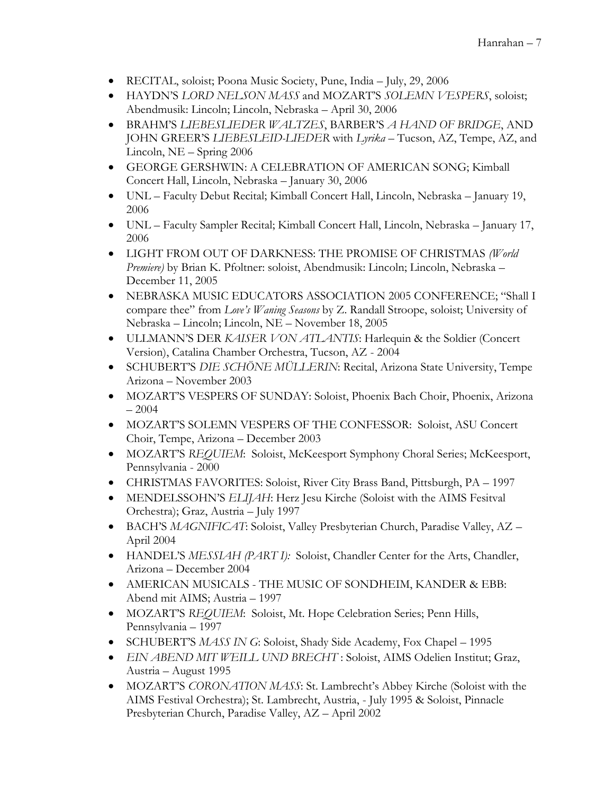- RECITAL, soloist; Poona Music Society, Pune, India July, 29, 2006
- HAYDN'S *LORD NELSON MASS* and MOZART'S *SOLEMN VESPERS*, soloist; Abendmusik: Lincoln; Lincoln, Nebraska – April 30, 2006
- BRAHM'S *LIEBESLIEDER WALTZES*, BARBER'S *A HAND OF BRIDGE*, AND JOHN GREER'S *LIEBESLEID-LIEDER* with *Lyrika* – Tucson, AZ, Tempe, AZ, and Lincoln, NE – Spring 2006
- GEORGE GERSHWIN: A CELEBRATION OF AMERICAN SONG; Kimball Concert Hall, Lincoln, Nebraska – January 30, 2006
- UNL Faculty Debut Recital; Kimball Concert Hall, Lincoln, Nebraska January 19, 2006
- UNL Faculty Sampler Recital; Kimball Concert Hall, Lincoln, Nebraska January 17, 2006
- LIGHT FROM OUT OF DARKNESS: THE PROMISE OF CHRISTMAS *(World Premiere)* by Brian K. Pfoltner: soloist, Abendmusik: Lincoln; Lincoln, Nebraska – December 11, 2005
- NEBRASKA MUSIC EDUCATORS ASSOCIATION 2005 CONFERENCE; "Shall I compare thee" from *Love's Waning Seasons* by Z. Randall Stroope, soloist; University of Nebraska – Lincoln; Lincoln, NE – November 18, 2005
- ULLMANN'S DER *KAISER VON ATLANTIS*: Harlequin & the Soldier (Concert Version), Catalina Chamber Orchestra, Tucson, AZ - 2004
- SCHUBERT'S *DIE SCHÖNE MÜLLERIN*: Recital, Arizona State University, Tempe Arizona – November 2003
- MOZART'S VESPERS OF SUNDAY: Soloist, Phoenix Bach Choir, Phoenix, Arizona – 2004
- MOZART'S SOLEMN VESPERS OF THE CONFESSOR: Soloist, ASU Concert Choir, Tempe, Arizona – December 2003
- MOZART'S *REQUIEM*: Soloist, McKeesport Symphony Choral Series; McKeesport, Pennsylvania - 2000
- CHRISTMAS FAVORITES: Soloist, River City Brass Band, Pittsburgh, PA 1997
- MENDELSSOHN'S *ELIJAH*: Herz Jesu Kirche (Soloist with the AIMS Fesitval Orchestra); Graz, Austria – July 1997
- BACH'S *MAGNIFICAT*: Soloist, Valley Presbyterian Church, Paradise Valley, AZ April 2004
- HANDEL'S *MESSIAH (PART I):* Soloist, Chandler Center for the Arts, Chandler, Arizona – December 2004
- AMERICAN MUSICALS THE MUSIC OF SONDHEIM, KANDER & EBB: Abend mit AIMS; Austria – 1997
- MOZART'S *REQUIEM*: Soloist, Mt. Hope Celebration Series; Penn Hills, Pennsylvania – 1997
- SCHUBERT'S *MASS IN G*: Soloist, Shady Side Academy, Fox Chapel 1995
- *EIN ABEND MIT WEILL UND BRECHT* : Soloist, AIMS Odelien Institut; Graz, Austria – August 1995
- MOZART'S *CORONATION MASS*: St. Lambrecht's Abbey Kirche (Soloist with the AIMS Festival Orchestra); St. Lambrecht, Austria, - July 1995 & Soloist, Pinnacle Presbyterian Church, Paradise Valley, AZ – April 2002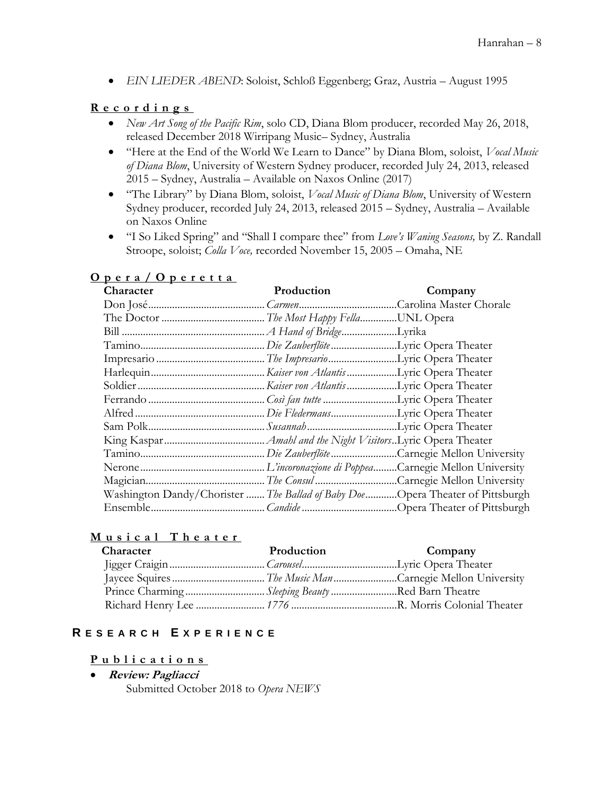*EIN LIEDER ABEND*: Soloist, Schloß Eggenberg; Graz, Austria – August 1995

## **R e c o r d i n g s**

- *New Art Song of the Pacific Rim*, solo CD, Diana Blom producer, recorded May 26, 2018, released December 2018 Wirripang Music– Sydney, Australia
- "Here at the End of the World We Learn to Dance" by Diana Blom, soloist, *Vocal Music of Diana Blom*, University of Western Sydney producer, recorded July 24, 2013, released 2015 – Sydney, Australia – Available on Naxos Online (2017)
- "The Library" by Diana Blom, soloist, *Vocal Music of Diana Blom*, University of Western Sydney producer, recorded July 24, 2013, released 2015 – Sydney, Australia – Available on Naxos Online
- "I So Liked Spring" and "Shall I compare thee" from *Love's Waning Seasons,* by Z. Randall Stroope, soloist; *Colla Voce,* recorded November 15, 2005 – Omaha, NE

| Character                                                                      | Production | Company |
|--------------------------------------------------------------------------------|------------|---------|
|                                                                                |            |         |
|                                                                                |            |         |
|                                                                                |            |         |
|                                                                                |            |         |
|                                                                                |            |         |
|                                                                                |            |         |
|                                                                                |            |         |
|                                                                                |            |         |
|                                                                                |            |         |
|                                                                                |            |         |
|                                                                                |            |         |
|                                                                                |            |         |
|                                                                                |            |         |
|                                                                                |            |         |
| Washington Dandy/Chorister  The Ballad of Baby Doe Opera Theater of Pittsburgh |            |         |
|                                                                                |            |         |

## **O p e r a / O p e r e t t a**

## **M u s i c a l T h e a t e r**

| Character | Production                                     | Company |
|-----------|------------------------------------------------|---------|
|           |                                                |         |
|           |                                                |         |
|           | Prince CharmingSleeping BeautyRed Barn Theatre |         |
|           |                                                |         |

## **R E S E A R C H E X P E R I E N C E**

#### **P u b l i c a t i o n s**

 **Review: Pagliacci** Submitted October 2018 to *Opera NEWS*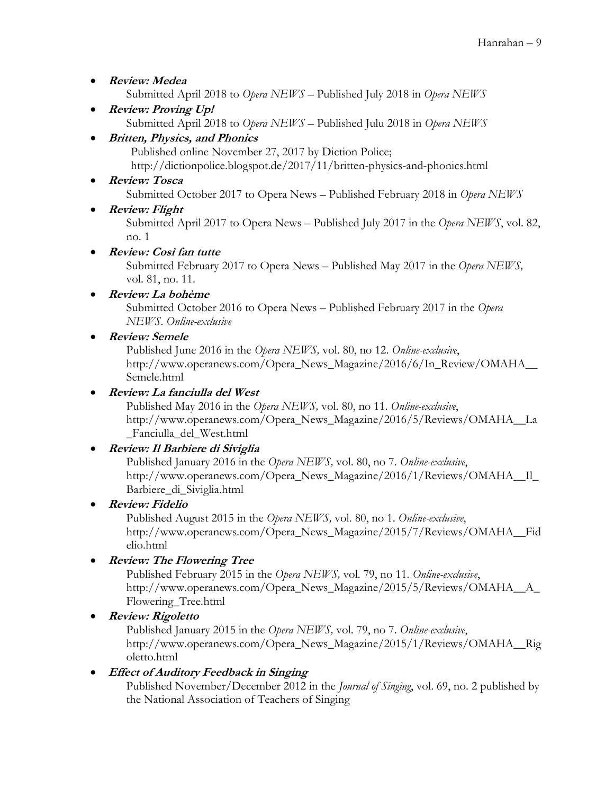- **Review: Medea** Submitted April 2018 to *Opera NEWS* – Published July 2018 in *Opera NEWS*
- **Review: Proving Up!** Submitted April 2018 to *Opera NEWS* – Published Julu 2018 in *Opera NEWS*

# **Britten, Physics, and Phonics**

Published online November 27, 2017 by Diction Police; http://dictionpolice.blogspot.de/2017/11/britten-physics-and-phonics.html

- **Review: Tosca** Submitted October 2017 to Opera News – Published February 2018 in *Opera NEWS*
- **Review: Flight**

Submitted April 2017 to Opera News – Published July 2017 in the *Opera NEWS*, vol. 82, no. 1

# **Review: Così fan tutte**

Submitted February 2017 to Opera News – Published May 2017 in the *Opera NEWS,*  vol. 81, no. 11.

**Review: La bohème**

Submitted October 2016 to Opera News – Published February 2017 in the *Opera NEWS*. *Online-exclusive*

# **Review: Semele**

Published June 2016 in the *Opera NEWS,* vol. 80, no 12. *Online-exclusive*, http://www.operanews.com/Opera\_News\_Magazine/2016/6/In\_Review/OMAHA\_\_ Semele.html

# **Review: La fanciulla del West**

Published May 2016 in the *Opera NEWS,* vol. 80, no 11. *Online-exclusive*, http://www.operanews.com/Opera\_News\_Magazine/2016/5/Reviews/OMAHA\_\_La \_Fanciulla\_del\_West.html

# **Review: Il Barbiere di Siviglia**

Published January 2016 in the *Opera NEWS,* vol. 80, no 7. *Online-exclusive*, http://www.operanews.com/Opera\_News\_Magazine/2016/1/Reviews/OMAHA\_\_Il\_ Barbiere\_di\_Siviglia.html

**Review: Fidelio**

Published August 2015 in the *Opera NEWS,* vol. 80, no 1. *Online-exclusive*, http://www.operanews.com/Opera\_News\_Magazine/2015/7/Reviews/OMAHA\_\_Fid elio.html

**Review: The Flowering Tree**

Published February 2015 in the *Opera NEWS,* vol. 79, no 11. *Online-exclusive*, http://www.operanews.com/Opera\_News\_Magazine/2015/5/Reviews/OMAHA\_\_A\_ Flowering\_Tree.html

**Review: Rigoletto**

Published January 2015 in the *Opera NEWS,* vol. 79, no 7. *Online-exclusive*, http://www.operanews.com/Opera\_News\_Magazine/2015/1/Reviews/OMAHA\_\_Rig oletto.html

# **Effect of Auditory Feedback in Singing**

Published November/December 2012 in the *Journal of Singing*, vol. 69, no. 2 published by the National Association of Teachers of Singing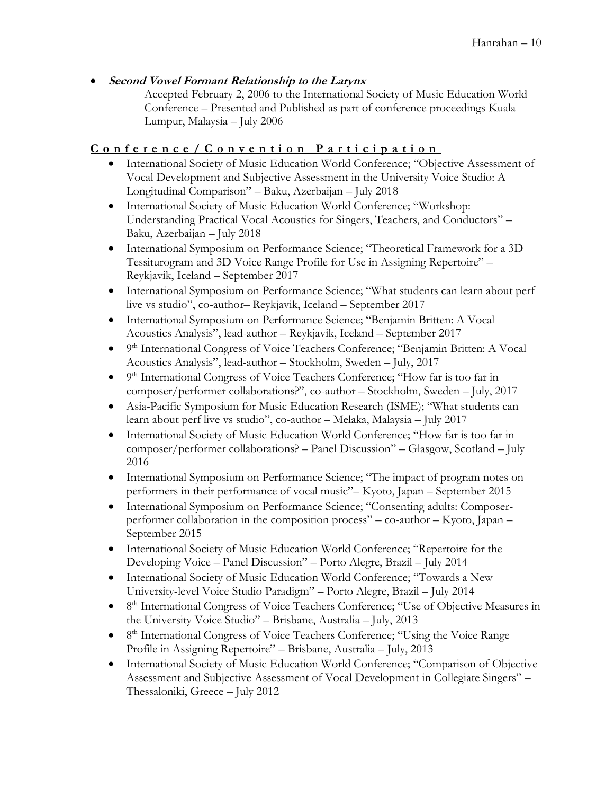## **Second Vowel Formant Relationship to the Larynx**

Accepted February 2, 2006 to the International Society of Music Education World Conference – Presented and Published as part of conference proceedings Kuala Lumpur, Malaysia – July 2006

# **C o n f e r e n c e / C o n v e n t i o n P a r t i c i p a t i o n**

- International Society of Music Education World Conference; "Objective Assessment of Vocal Development and Subjective Assessment in the University Voice Studio: A Longitudinal Comparison" – Baku, Azerbaijan – July 2018
- International Society of Music Education World Conference; "Workshop: Understanding Practical Vocal Acoustics for Singers, Teachers, and Conductors" – Baku, Azerbaijan – July 2018
- International Symposium on Performance Science; "Theoretical Framework for a 3D Tessiturogram and 3D Voice Range Profile for Use in Assigning Repertoire" – Reykjavik, Iceland – September 2017
- International Symposium on Performance Science; "What students can learn about perf live vs studio", co-author– Reykjavik, Iceland – September 2017
- International Symposium on Performance Science; "Benjamin Britten: A Vocal Acoustics Analysis", lead-author – Reykjavik, Iceland – September 2017
- <sup>9th</sup> International Congress of Voice Teachers Conference; "Benjamin Britten: A Vocal Acoustics Analysis", lead-author – Stockholm, Sweden – July, 2017
- <sup>9th</sup> International Congress of Voice Teachers Conference; "How far is too far in composer/performer collaborations?", co-author – Stockholm, Sweden – July, 2017
- Asia-Pacific Symposium for Music Education Research (ISME); "What students can learn about perf live vs studio", co-author – Melaka, Malaysia – July 2017
- International Society of Music Education World Conference; "How far is too far in composer/performer collaborations? – Panel Discussion" – Glasgow, Scotland – July 2016
- International Symposium on Performance Science; "The impact of program notes on performers in their performance of vocal music"– Kyoto, Japan – September 2015
- International Symposium on Performance Science; "Consenting adults: Composerperformer collaboration in the composition process" – co-author – Kyoto, Japan – September 2015
- International Society of Music Education World Conference; "Repertoire for the Developing Voice – Panel Discussion" – Porto Alegre, Brazil – July 2014
- International Society of Music Education World Conference; "Towards a New University-level Voice Studio Paradigm" – Porto Alegre, Brazil – July 2014
- 8<sup>th</sup> International Congress of Voice Teachers Conference; "Use of Objective Measures in the University Voice Studio" – Brisbane, Australia – July, 2013
- <sup>8th</sup> International Congress of Voice Teachers Conference; "Using the Voice Range Profile in Assigning Repertoire" – Brisbane, Australia – July, 2013
- International Society of Music Education World Conference; "Comparison of Objective Assessment and Subjective Assessment of Vocal Development in Collegiate Singers" – Thessaloniki, Greece – July 2012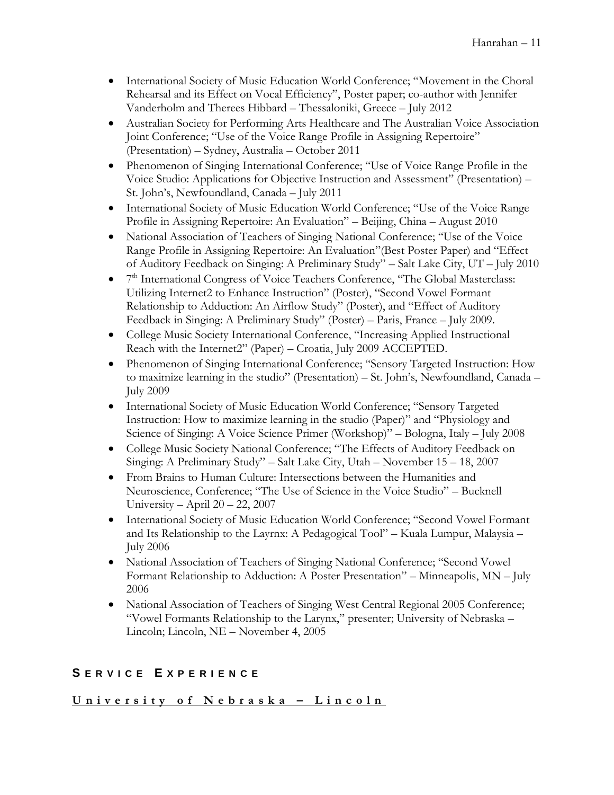- International Society of Music Education World Conference; "Movement in the Choral Rehearsal and its Effect on Vocal Efficiency", Poster paper; co-author with Jennifer Vanderholm and Therees Hibbard – Thessaloniki, Greece – July 2012
- Australian Society for Performing Arts Healthcare and The Australian Voice Association Joint Conference; "Use of the Voice Range Profile in Assigning Repertoire" (Presentation) – Sydney, Australia – October 2011
- Phenomenon of Singing International Conference; "Use of Voice Range Profile in the Voice Studio: Applications for Objective Instruction and Assessment" (Presentation) – St. John's, Newfoundland, Canada – July 2011
- International Society of Music Education World Conference; "Use of the Voice Range Profile in Assigning Repertoire: An Evaluation" – Beijing, China – August 2010
- National Association of Teachers of Singing National Conference; "Use of the Voice Range Profile in Assigning Repertoire: An Evaluation"(Best Poster Paper) and "Effect of Auditory Feedback on Singing: A Preliminary Study" – Salt Lake City, UT – July 2010
- 7<sup>th</sup> International Congress of Voice Teachers Conference, "The Global Masterclass: Utilizing Internet2 to Enhance Instruction" (Poster), "Second Vowel Formant Relationship to Adduction: An Airflow Study" (Poster), and "Effect of Auditory Feedback in Singing: A Preliminary Study" (Poster) – Paris, France – July 2009.
- College Music Society International Conference, "Increasing Applied Instructional Reach with the Internet2" (Paper) – Croatia, July 2009 ACCEPTED.
- Phenomenon of Singing International Conference; "Sensory Targeted Instruction: How to maximize learning in the studio" (Presentation) – St. John's, Newfoundland, Canada – July 2009
- International Society of Music Education World Conference; "Sensory Targeted Instruction: How to maximize learning in the studio (Paper)" and "Physiology and Science of Singing: A Voice Science Primer (Workshop)" – Bologna, Italy – July 2008
- College Music Society National Conference; "The Effects of Auditory Feedback on Singing: A Preliminary Study" – Salt Lake City, Utah – November 15 – 18, 2007
- From Brains to Human Culture: Intersections between the Humanities and Neuroscience, Conference; "The Use of Science in the Voice Studio" – Bucknell University – April 20 – 22, 2007
- International Society of Music Education World Conference; "Second Vowel Formant and Its Relationship to the Layrnx: A Pedagogical Tool" – Kuala Lumpur, Malaysia – July 2006
- National Association of Teachers of Singing National Conference; "Second Vowel Formant Relationship to Adduction: A Poster Presentation" – Minneapolis, MN – July 2006
- National Association of Teachers of Singing West Central Regional 2005 Conference; "Vowel Formants Relationship to the Larynx," presenter; University of Nebraska – Lincoln; Lincoln, NE – November 4, 2005

# **S E R V I C E E X P E R I E N C E**

# **U n i v e r s i t y o f N e b r a s k a – L i n c o l n**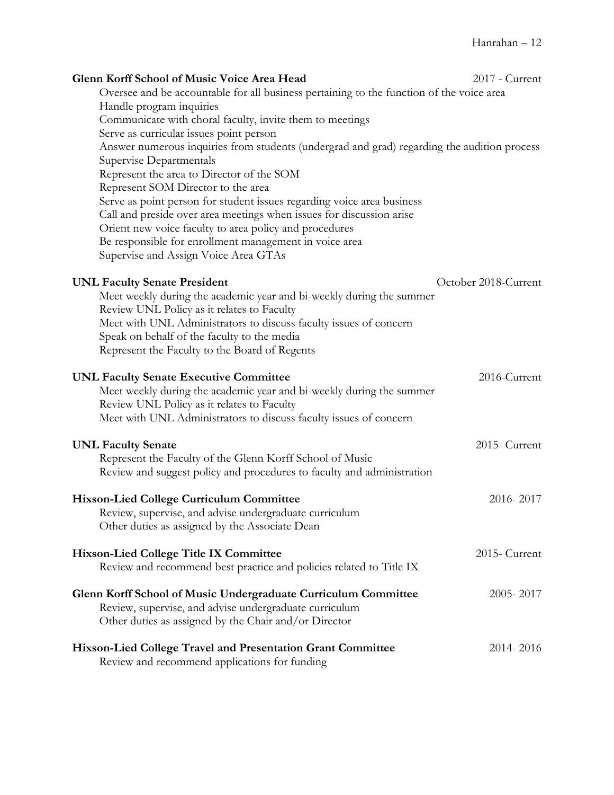| Glenn Korff School of Music Voice Area Head<br>Oversee and be accountable for all business pertaining to the function of the voice area<br>Handle program inquiries<br>Communicate with choral faculty, invite them to meetings<br>Serve as curricular issues point person<br>Answer numerous inquiries from students (undergrad and grad) regarding the audition process<br>Supervise Departmentals<br>Represent the area to Director of the SOM<br>Represent SOM Director to the area<br>Serve as point person for student issues regarding voice area business | 2017 - Current       |
|-------------------------------------------------------------------------------------------------------------------------------------------------------------------------------------------------------------------------------------------------------------------------------------------------------------------------------------------------------------------------------------------------------------------------------------------------------------------------------------------------------------------------------------------------------------------|----------------------|
| Call and preside over area meetings when issues for discussion arise<br>Orient new voice faculty to area policy and procedures<br>Be responsible for enrollment management in voice area<br>Supervise and Assign Voice Area GTAs                                                                                                                                                                                                                                                                                                                                  |                      |
| <b>UNL Faculty Senate President</b><br>Meet weekly during the academic year and bi-weekly during the summer<br>Review UNL Policy as it relates to Faculty<br>Meet with UNL Administrators to discuss faculty issues of concern<br>Speak on behalf of the faculty to the media<br>Represent the Faculty to the Board of Regents                                                                                                                                                                                                                                    | October 2018-Current |
| <b>UNL Faculty Senate Executive Committee</b><br>Meet weekly during the academic year and bi-weekly during the summer<br>Review UNL Policy as it relates to Faculty<br>Meet with UNL Administrators to discuss faculty issues of concern                                                                                                                                                                                                                                                                                                                          | 2016-Current         |
| <b>UNL Faculty Senate</b><br>Represent the Faculty of the Glenn Korff School of Music<br>Review and suggest policy and procedures to faculty and administration                                                                                                                                                                                                                                                                                                                                                                                                   | 2015- Current        |
| <b>Hixson-Lied College Curriculum Committee</b><br>Review, supervise, and advise undergraduate curriculum<br>Other duties as assigned by the Associate Dean                                                                                                                                                                                                                                                                                                                                                                                                       | 2016-2017            |
| <b>Hixson-Lied College Title IX Committee</b><br>Review and recommend best practice and policies related to Title IX                                                                                                                                                                                                                                                                                                                                                                                                                                              | 2015- Current        |
| Glenn Korff School of Music Undergraduate Curriculum Committee<br>Review, supervise, and advise undergraduate curriculum<br>Other duties as assigned by the Chair and/or Director                                                                                                                                                                                                                                                                                                                                                                                 | 2005-2017            |
| Hixson-Lied College Travel and Presentation Grant Committee<br>Review and recommend applications for funding                                                                                                                                                                                                                                                                                                                                                                                                                                                      | 2014-2016            |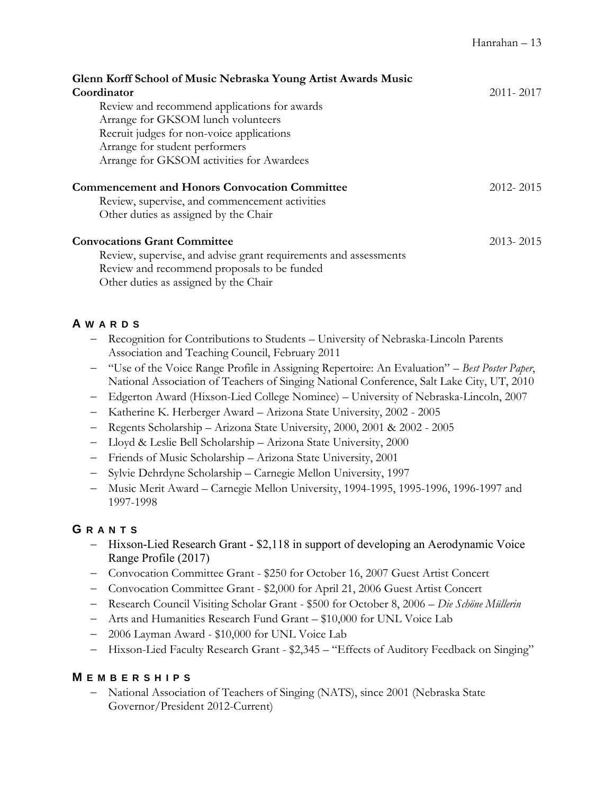| Glenn Korff School of Music Nebraska Young Artist Awards Music                                         |               |
|--------------------------------------------------------------------------------------------------------|---------------|
| Coordinator                                                                                            | 2011 - 2017   |
| Review and recommend applications for awards                                                           |               |
| Arrange for GKSOM lunch volunteers                                                                     |               |
| Recruit judges for non-voice applications                                                              |               |
| Arrange for student performers                                                                         |               |
| Arrange for GKSOM activities for Awardees                                                              |               |
| <b>Commencement and Honors Convocation Committee</b><br>Review, supervise, and commencement activities | 2012-2015     |
| Other duties as assigned by the Chair                                                                  |               |
| <b>Convocations Grant Committee</b>                                                                    | $2013 - 2015$ |
| Review, supervise, and advise grant requirements and assessments                                       |               |
| Review and recommend proposals to be funded                                                            |               |

Other duties as assigned by the Chair

# **A W A R D S**

- Recognition for Contributions to Students University of Nebraska-Lincoln Parents Association and Teaching Council, February 2011
- "Use of the Voice Range Profile in Assigning Repertoire: An Evaluation" *Best Poster Paper*, National Association of Teachers of Singing National Conference, Salt Lake City, UT, 2010
- Edgerton Award (Hixson-Lied College Nominee) University of Nebraska-Lincoln, 2007
- Katherine K. Herberger Award Arizona State University, 2002 2005
- Regents Scholarship Arizona State University, 2000, 2001 & 2002 2005
- Lloyd & Leslie Bell Scholarship Arizona State University, 2000
- Friends of Music Scholarship Arizona State University, 2001
- Sylvie Dehrdyne Scholarship Carnegie Mellon University, 1997
- Music Merit Award Carnegie Mellon University, 1994-1995, 1995-1996, 1996-1997 and 1997-1998

# **G R A N T S**

- Hixson-Lied Research Grant \$2,118 in support of developing an Aerodynamic Voice Range Profile (2017)
- Convocation Committee Grant \$250 for October 16, 2007 Guest Artist Concert
- Convocation Committee Grant \$2,000 for April 21, 2006 Guest Artist Concert
- Research Council Visiting Scholar Grant \$500 for October 8, 2006 *Die Schöne Müllerin*
- Arts and Humanities Research Fund Grant \$10,000 for UNL Voice Lab
- 2006 Layman Award \$10,000 for UNL Voice Lab
- Hixson-Lied Faculty Research Grant \$2,345 "Effects of Auditory Feedback on Singing"

# **M E M B E R S H I P S**

 National Association of Teachers of Singing (NATS), since 2001 (Nebraska State Governor/President 2012-Current)